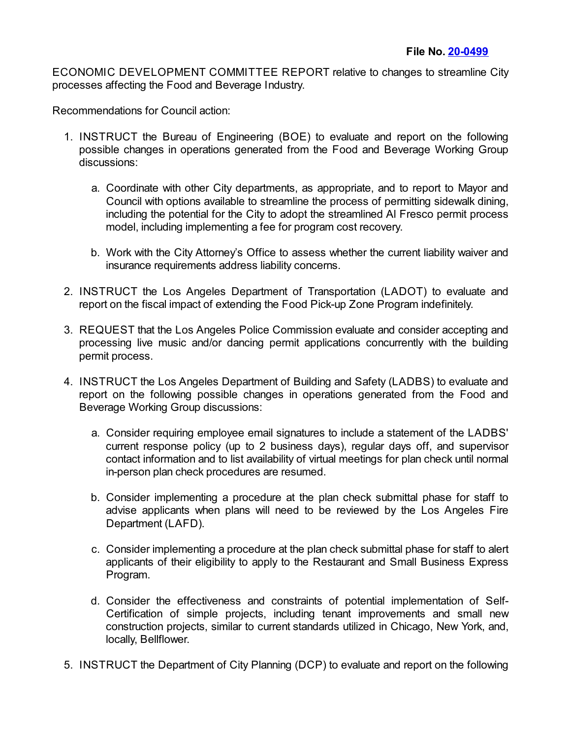ECONOMIC DEVELOPMENT COMMITTEE REPORT relative to changes to streamline City processes affecting the Food and Beverage Industry.

Recommendations for Council action:

- 1. INSTRUCT the Bureau of Engineering (BOE) to evaluate and report on the following possible changes in operations generated from the Food and Beverage Working Group discussions:
	- a. Coordinate with other City departments, as appropriate, and to report to Mayor and Council with options available to streamline the process of permitting sidewalk dining, including the potential for the City to adopt the streamlined Al Fresco permit process model, including implementing a fee for program cost recovery.
	- b. Work with the City Attorney's Office to assess whether the current liability waiver and insurance requirements address liability concerns.
- 2. INSTRUCT the Los Angeles Department of Transportation (LADOT) to evaluate and report on the fiscal impact of extending the Food Pick-up Zone Program indefinitely.
- 3. REQUEST that the Los Angeles Police Commission evaluate and consider accepting and processing live music and/or dancing permit applications concurrently with the building permit process.
- 4. INSTRUCT the Los Angeles Department of Building and Safety (LADBS) to evaluate and report on the following possible changes in operations generated from the Food and Beverage Working Group discussions:
	- a. Consider requiring employee email signatures to include a statement of the LADBS' current response policy (up to 2 business days), regular days off, and supervisor contact information and to list availability of virtual meetings for plan check until normal in-person plan check procedures are resumed.
	- b. Consider implementing a procedure at the plan check submittal phase for staff to advise applicants when plans will need to be reviewed by the Los Angeles Fire Department (LAFD).
	- c. Consider implementing a procedure at the plan check submittal phase for staff to alert applicants of their eligibility to apply to the Restaurant and Small Business Express Program.
	- d. Consider the effectiveness and constraints of potential implementation of Self-Certification of simple projects, including tenant improvements and small new construction projects, similar to current standards utilized in Chicago, New York, and, locally, Bellflower.
- 5. INSTRUCT the Department of City Planning (DCP) to evaluate and report on the following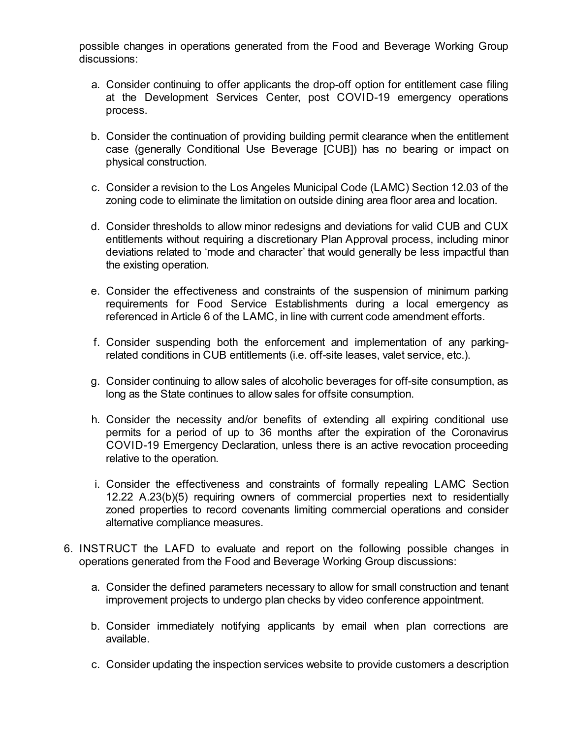possible changes in operations generated from the Food and Beverage Working Group discussions:

- a. Consider continuing to offer applicants the drop-off option for entitlement case filing at the Development Services Center, post COVID-19 emergency operations process.
- b. Consider the continuation of providing building permit clearance when the entitlement case (generally Conditional Use Beverage [CUB]) has no bearing or impact on physical construction.
- c. Consider a revision to the Los Angeles Municipal Code (LAMC) Section 12.03 of the zoning code to eliminate the limitation on outside dining area floor area and location.
- d. Consider thresholds to allow minor redesigns and deviations for valid CUB and CUX entitlements without requiring a discretionary Plan Approval process, including minor deviations related to 'mode and character' that would generally be less impactful than the existing operation.
- e. Consider the effectiveness and constraints of the suspension of minimum parking requirements for Food Service Establishments during a local emergency as referenced in Article 6 of the LAMC, in line with current code amendment efforts.
- f. Consider suspending both the enforcement and implementation of any parkingrelated conditions in CUB entitlements (i.e. off-site leases, valet service, etc.).
- g. Consider continuing to allow sales of alcoholic beverages for off-site consumption, as long as the State continues to allow sales for offsite consumption.
- h. Consider the necessity and/or benefits of extending all expiring conditional use permits for a period of up to 36 months after the expiration of the Coronavirus COVID-19 Emergency Declaration, unless there is an active revocation proceeding relative to the operation.
- i. Consider the effectiveness and constraints of formally repealing LAMC Section 12.22 A.23(b)(5) requiring owners of commercial properties next to residentially zoned properties to record covenants limiting commercial operations and consider alternative compliance measures.
- 6. INSTRUCT the LAFD to evaluate and report on the following possible changes in operations generated from the Food and Beverage Working Group discussions:
	- a. Consider the defined parameters necessary to allow for small construction and tenant improvement projects to undergo plan checks by video conference appointment.
	- b. Consider immediately notifying applicants by email when plan corrections are available.
	- c. Consider updating the inspection services website to provide customers a description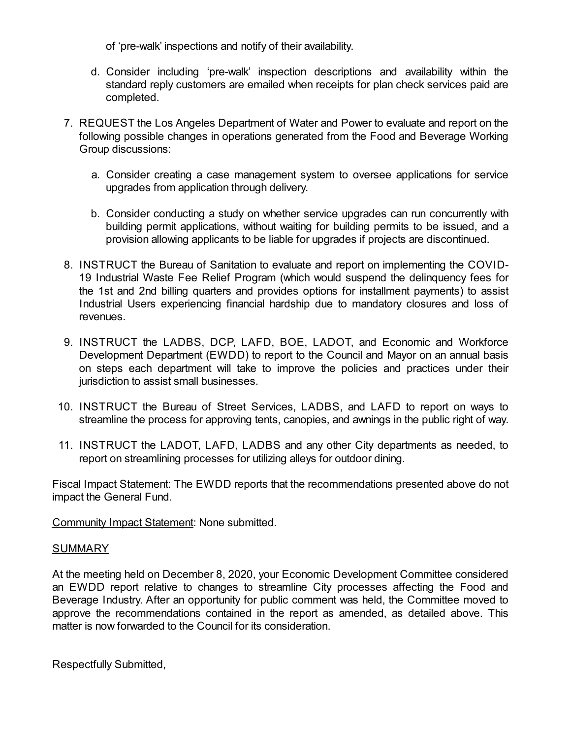of 'pre-walk' inspections and notify of their availability.

- d. Consider including 'pre-walk' inspection descriptions and availability within the standard reply customers are emailed when receipts for plan check services paid are completed.
- 7. REQUEST the Los Angeles Department of Water and Power to evaluate and report on the following possible changes in operations generated from the Food and Beverage Working Group discussions:
	- a. Consider creating a case management system to oversee applications for service upgrades from application through delivery.
	- b. Consider conducting a study on whether service upgrades can run concurrently with building permit applications, without waiting for building permits to be issued, and a provision allowing applicants to be liable for upgrades if projects are discontinued.
- 8. INSTRUCT the Bureau of Sanitation to evaluate and report on implementing the COVID-19 Industrial Waste Fee Relief Program (which would suspend the delinquency fees for the 1st and 2nd billing quarters and provides options for installment payments) to assist Industrial Users experiencing financial hardship due to mandatory closures and loss of revenues.
- 9. INSTRUCT the LADBS, DCP, LAFD, BOE, LADOT, and Economic and Workforce Development Department (EWDD) to report to the Council and Mayor on an annual basis on steps each department will take to improve the policies and practices under their jurisdiction to assist small businesses.
- 10. INSTRUCT the Bureau of Street Services, LADBS, and LAFD to report on ways to streamline the process for approving tents, canopies, and awnings in the public right of way.
- 11. INSTRUCT the LADOT, LAFD, LADBS and any other City departments as needed, to report on streamlining processes for utilizing alleys for outdoor dining.

Fiscal Impact Statement: The EWDD reports that the recommendations presented above do not impact the General Fund.

Community Impact Statement: None submitted.

## SUMMARY

At the meeting held on December 8, 2020, your Economic Development Committee considered an EWDD report relative to changes to streamline City processes affecting the Food and Beverage Industry. After an opportunity for public comment was held, the Committee moved to approve the recommendations contained in the report as amended, as detailed above. This matter is now forwarded to the Council for its consideration.

Respectfully Submitted,